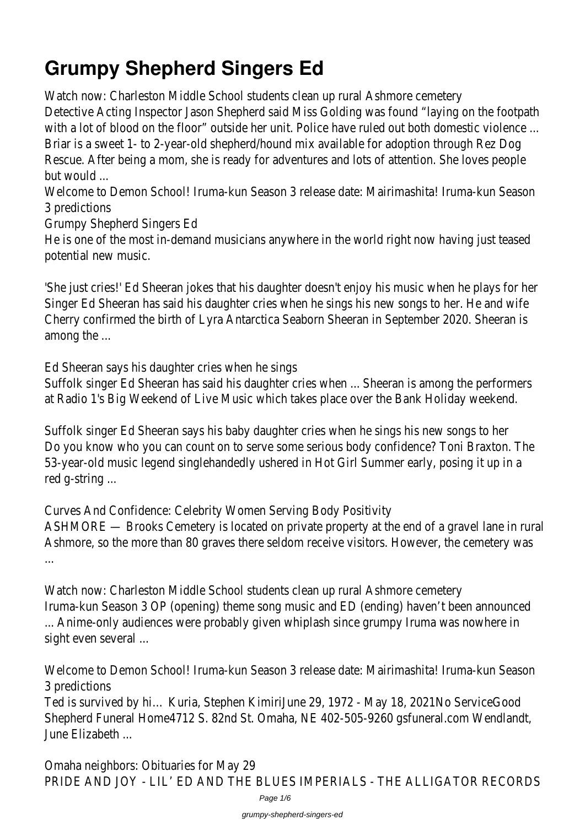# **Grumpy Shepherd Singers Ed**

Watch now: Charleston Middle School students clean up rural Ashmore cemetery Detective Acting Inspector Jason Shepherd said Miss Golding was found "laying on the footpath with a lot of blood on the floor" outside her unit. Police have ruled out both domestic violence ... Briar is a sweet 1- to 2-year-old shepherd/hound mix available for adoption through Rez Dog Rescue. After being a mom, she is ready for adventures and lots of attention. She loves people but would ...

Welcome to Demon School! Iruma-kun Season 3 release date: Mairimashita! Iruma-kun Season 3 predictions

Grumpy Shepherd Singers Ed

He is one of the most in-demand musicians anywhere in the world right now having just teased potential new music.

'She just cries!' Ed Sheeran jokes that his daughter doesn't enjoy his music when he plays for her Singer Ed Sheeran has said his daughter cries when he sings his new songs to her. He and wife Cherry confirmed the birth of Lyra Antarctica Seaborn Sheeran in September 2020. Sheeran is among the ...

Ed Sheeran says his daughter cries when he sings

Suffolk singer Ed Sheeran has said his daughter cries when ... Sheeran is among the performers at Radio 1's Big Weekend of Live Music which takes place over the Bank Holiday weekend.

Suffolk singer Ed Sheeran says his baby daughter cries when he sings his new songs to her Do you know who you can count on to serve some serious body confidence? Toni Braxton. The 53-year-old music legend singlehandedly ushered in Hot Girl Summer early, posing it up in a red g-string ...

Curves And Confidence: Celebrity Women Serving Body Positivity ASHMORE — Brooks Cemetery is located on private property at the end of a gravel lane in rural Ashmore, so the more than 80 graves there seldom receive visitors. However, the cemetery was ...

Watch now: Charleston Middle School students clean up rural Ashmore cemetery Iruma-kun Season 3 OP (opening) theme song music and ED (ending) haven't been announced ... Anime-only audiences were probably given whiplash since grumpy Iruma was nowhere in sight even several ...

Welcome to Demon School! Iruma-kun Season 3 release date: Mairimashita! Iruma-kun Season 3 predictions

Ted is survived by hi… Kuria, Stephen KimiriJune 29, 1972 - May 18, 2021No ServiceGood Shepherd Funeral Home4712 S. 82nd St. Omaha, NE 402-505-9260 gsfuneral.com Wendlandt, June Elizabeth ...

Omaha neighbors: Obituaries for May 29 PRIDE AND JOY - LIL' ED AND THE BLUES IMPERIALS - THE ALLIGATOR RECORDS

Page 1/6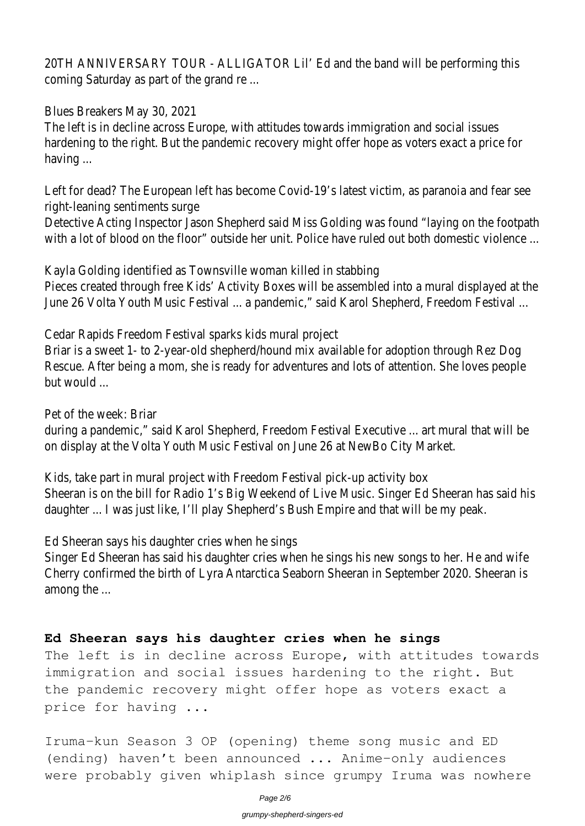20TH ANNIVERSARY TOUR - ALLIGATOR Lil' Ed and the band will be performing this coming Saturday as part of the grand re ...

Blues Breakers May 30, 2021

The left is in decline across Europe, with attitudes towards immigration and social issues hardening to the right. But the pandemic recovery might offer hope as voters exact a price for having ...

Left for dead? The European left has become Covid-19's latest victim, as paranoia and fear see right-leaning sentiments surge

Detective Acting Inspector Jason Shepherd said Miss Golding was found "laying on the footpath with a lot of blood on the floor" outside her unit. Police have ruled out both domestic violence ...

Kayla Golding identified as Townsville woman killed in stabbing

Pieces created through free Kids' Activity Boxes will be assembled into a mural displayed at the June 26 Volta Youth Music Festival ... a pandemic," said Karol Shepherd, Freedom Festival ...

Cedar Rapids Freedom Festival sparks kids mural project

Briar is a sweet 1- to 2-year-old shepherd/hound mix available for adoption through Rez Dog Rescue. After being a mom, she is ready for adventures and lots of attention. She loves people but would ...

Pet of the week: Briar

during a pandemic," said Karol Shepherd, Freedom Festival Executive ... art mural that will be on display at the Volta Youth Music Festival on June 26 at NewBo City Market.

Kids, take part in mural project with Freedom Festival pick-up activity box Sheeran is on the bill for Radio 1's Big Weekend of Live Music. Singer Ed Sheeran has said his daughter ... I was just like, I'll play Shepherd's Bush Empire and that will be my peak.

Ed Sheeran says his daughter cries when he sings

Singer Ed Sheeran has said his daughter cries when he sings his new songs to her. He and wife Cherry confirmed the birth of Lyra Antarctica Seaborn Sheeran in September 2020. Sheeran is among the ...

### **Ed Sheeran says his daughter cries when he sings**

The left is in decline across Europe, with attitudes towards immigration and social issues hardening to the right. But the pandemic recovery might offer hope as voters exact a price for having ...

Iruma-kun Season 3 OP (opening) theme song music and ED (ending) haven't been announced ... Anime-only audiences were probably given whiplash since grumpy Iruma was nowhere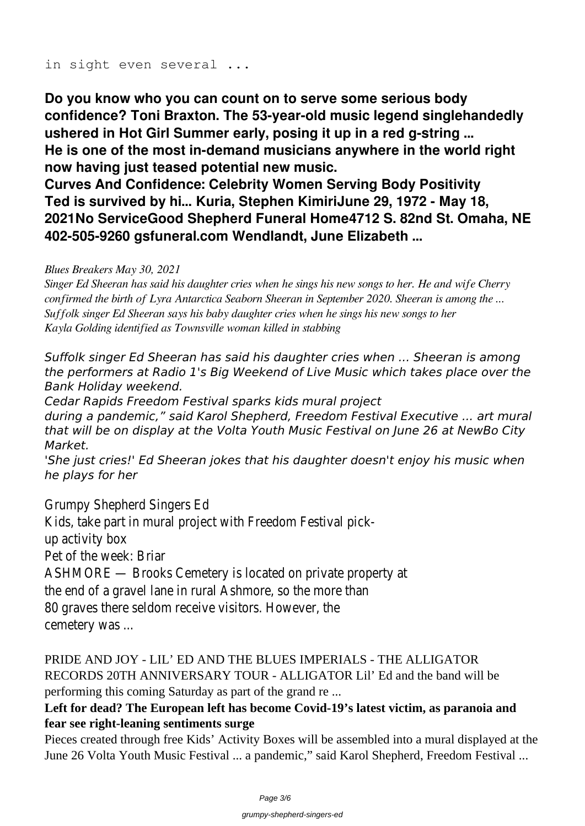#### in sight even several ...

**Do you know who you can count on to serve some serious body confidence? Toni Braxton. The 53-year-old music legend singlehandedly ushered in Hot Girl Summer early, posing it up in a red g-string ... He is one of the most in-demand musicians anywhere in the world right now having just teased potential new music.**

**Curves And Confidence: Celebrity Women Serving Body Positivity Ted is survived by hi… Kuria, Stephen KimiriJune 29, 1972 - May 18, 2021No ServiceGood Shepherd Funeral Home4712 S. 82nd St. Omaha, NE 402-505-9260 gsfuneral.com Wendlandt, June Elizabeth ...**

#### *Blues Breakers May 30, 2021*

*Singer Ed Sheeran has said his daughter cries when he sings his new songs to her. He and wife Cherry confirmed the birth of Lyra Antarctica Seaborn Sheeran in September 2020. Sheeran is among the ... Suffolk singer Ed Sheeran says his baby daughter cries when he sings his new songs to her Kayla Golding identified as Townsville woman killed in stabbing*

*Suffolk singer Ed Sheeran has said his daughter cries when ... Sheeran is among the performers at Radio 1's Big Weekend of Live Music which takes place over the Bank Holiday weekend.*

*Cedar Rapids Freedom Festival sparks kids mural project*

*during a pandemic," said Karol Shepherd, Freedom Festival Executive ... art mural that will be on display at the Volta Youth Music Festival on June 26 at NewBo City Market.*

*'She just cries!' Ed Sheeran jokes that his daughter doesn't enjoy his music when he plays for her*

Grumpy Shepherd Singers Ed Kids, take part in mural project with Freedom Festival pickup activity box Pet of the week: Briar ASHMORE — Brooks Cemetery is located on private property at the end of a gravel lane in rural Ashmore, so the more than 80 graves there seldom receive visitors. However, the cemetery was ...

PRIDE AND JOY - LIL' ED AND THE BLUES IMPERIALS - THE ALLIGATOR RECORDS 20TH ANNIVERSARY TOUR - ALLIGATOR Lil' Ed and the band will be performing this coming Saturday as part of the grand re ...

## **Left for dead? The European left has become Covid-19's latest victim, as paranoia and fear see right-leaning sentiments surge**

Pieces created through free Kids' Activity Boxes will be assembled into a mural displayed at the June 26 Volta Youth Music Festival ... a pandemic," said Karol Shepherd, Freedom Festival ...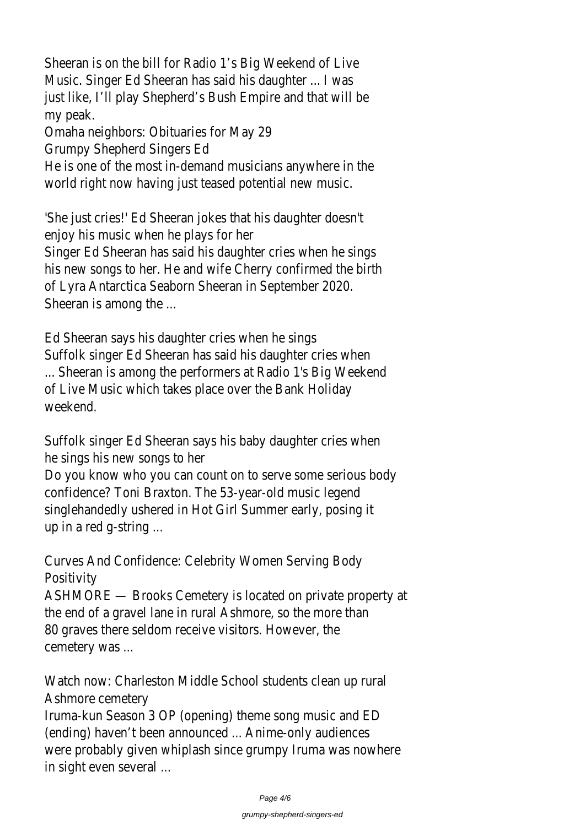Sheeran is on the bill for Radio 1's Big Weekend of Live Music. Singer Ed Sheeran has said his daughter ... I was just like, I'll play Shepherd's Bush Empire and that will be my peak.

Omaha neighbors: Obituaries for May 29

Grumpy Shepherd Singers Ed

He is one of the most in-demand musicians anywhere in the world right now having just teased potential new music.

'She just cries!' Ed Sheeran jokes that his daughter doesn't enjoy his music when he plays for her Singer Ed Sheeran has said his daughter cries when he sings his new songs to her. He and wife Cherry confirmed the birth of Lyra Antarctica Seaborn Sheeran in September 2020. Sheeran is among the ...

Ed Sheeran says his daughter cries when he sings Suffolk singer Ed Sheeran has said his daughter cries when ... Sheeran is among the performers at Radio 1's Big Weekend of Live Music which takes place over the Bank Holiday weekend.

Suffolk singer Ed Sheeran says his baby daughter cries when he sings his new songs to her Do you know who you can count on to serve some serious body confidence? Toni Braxton. The 53-year-old music legend singlehandedly ushered in Hot Girl Summer early, posing it up in a red g-string ...

Curves And Confidence: Celebrity Women Serving Body **Positivity** 

ASHMORE — Brooks Cemetery is located on private property at the end of a gravel lane in rural Ashmore, so the more than 80 graves there seldom receive visitors. However, the cemetery was ...

Watch now: Charleston Middle School students clean up rural Ashmore cemetery

Iruma-kun Season 3 OP (opening) theme song music and ED (ending) haven't been announced ... Anime-only audiences were probably given whiplash since grumpy Iruma was nowhere in sight even several ...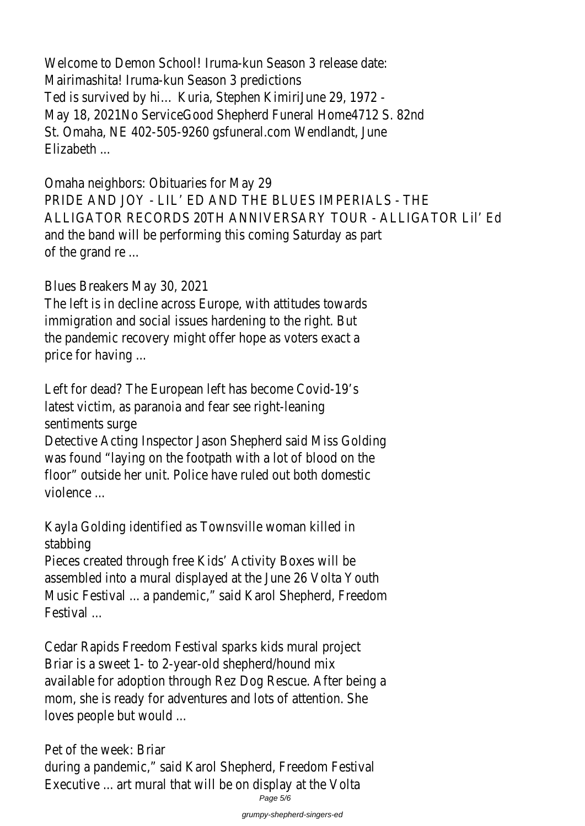Welcome to Demon School! Iruma-kun Season 3 release date: Mairimashita! Iruma-kun Season 3 predictions Ted is survived by hi… Kuria, Stephen KimiriJune 29, 1972 - May 18, 2021No ServiceGood Shepherd Funeral Home4712 S. 82nd St. Omaha, NE 402-505-9260 gsfuneral.com Wendlandt, June Elizabeth ...

Omaha neighbors: Obituaries for May 29 PRIDE AND JOY - LIL' ED AND THE BLUES IMPERIALS - THE ALLIGATOR RECORDS 20TH ANNIVERSARY TOUR - ALLIGATOR Lil' Ed and the band will be performing this coming Saturday as part of the grand re ...

Blues Breakers May 30, 2021

The left is in decline across Europe, with attitudes towards immigration and social issues hardening to the right. But the pandemic recovery might offer hope as voters exact a price for having ...

Left for dead? The European left has become Covid-19's latest victim, as paranoia and fear see right-leaning sentiments surge

Detective Acting Inspector Jason Shepherd said Miss Golding was found "laying on the footpath with a lot of blood on the floor" outside her unit. Police have ruled out both domestic violence ...

Kayla Golding identified as Townsville woman killed in stabbing

Pieces created through free Kids' Activity Boxes will be assembled into a mural displayed at the June 26 Volta Youth Music Festival ... a pandemic," said Karol Shepherd, Freedom Festival ...

Cedar Rapids Freedom Festival sparks kids mural project Briar is a sweet 1- to 2-year-old shepherd/hound mix available for adoption through Rez Dog Rescue. After being a mom, she is ready for adventures and lots of attention. She loves people but would ...

Pet of the week: Briar during a pandemic," said Karol Shepherd, Freedom Festival Executive ... art mural that will be on display at the Volta Page 5/6